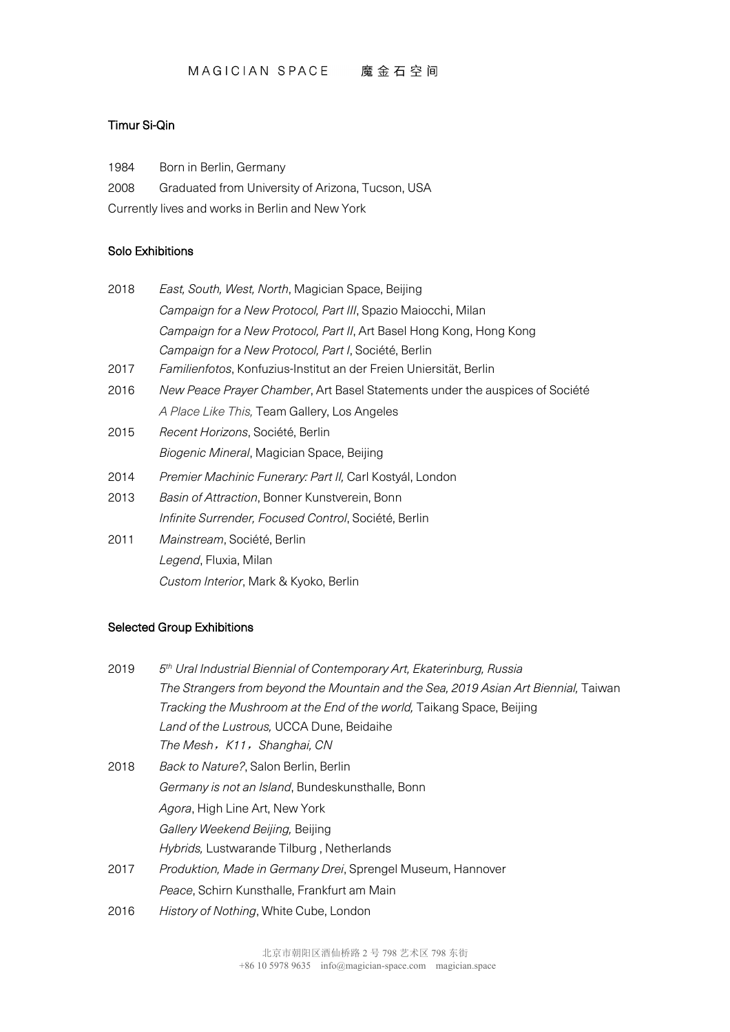#### Timur Si-Qin

1984 Born in Berlin, Germany

2008 Graduated from University of Arizona, Tucson, USA

Currently lives and works in Berlin and New York

#### Solo Exhibitions

| 2018 | East, South, West, North, Magician Space, Beijing                            |
|------|------------------------------------------------------------------------------|
|      | Campaign for a New Protocol, Part III, Spazio Maiocchi, Milan                |
|      | Campaign for a New Protocol, Part II, Art Basel Hong Kong, Hong Kong         |
|      | Campaign for a New Protocol, Part I, Société, Berlin                         |
| 2017 | Familienfotos, Konfuzius-Institut an der Freien Uniersität, Berlin           |
| 2016 | New Peace Prayer Chamber, Art Basel Statements under the auspices of Société |
|      | A Place Like This, Team Gallery, Los Angeles                                 |
| 2015 | Recent Horizons, Société, Berlin                                             |
|      | Biogenic Mineral, Magician Space, Beijing                                    |
| 2014 | Premier Machinic Funerary: Part II, Carl Kostyál, London                     |
| 2013 | Basin of Attraction, Bonner Kunstverein, Bonn                                |
|      | Infinite Surrender, Focused Control, Société, Berlin                         |
| 2011 | <i>Mainstream</i> , Société, Berlin                                          |
|      |                                                                              |

*Legend*, Fluxia, Milan *Custom Interior*, Mark & Kyoko, Berlin

### Selected Group Exhibitions

| 2019 | 5 <sup>th</sup> Ural Industrial Biennial of Contemporary Art, Ekaterinburg, Russia  |
|------|-------------------------------------------------------------------------------------|
|      | The Strangers from beyond the Mountain and the Sea, 2019 Asian Art Biennial, Taiwan |
|      | Tracking the Mushroom at the End of the world, Taikang Space, Beijing               |
|      | Land of the Lustrous, UCCA Dune, Beidaihe                                           |
|      | The Mesh, K11, Shanghai, CN                                                         |
| 2018 | <i>Back to Nature?</i> , Salon Berlin, Berlin                                       |
|      | Germany is not an Island, Bundeskunsthalle, Bonn                                    |
|      | <i>Agora</i> , High Line Art, New York                                              |
|      | Gallery Weekend Beijing, Beijing                                                    |
|      | Hybrids, Lustwarande Tilburg, Netherlands                                           |
| 2017 | Produktion, Made in Germany Drei, Sprengel Museum, Hannover                         |
|      | Peace, Schirn Kunsthalle, Frankfurt am Main                                         |
| 2016 | History of Nothing, White Cube, London                                              |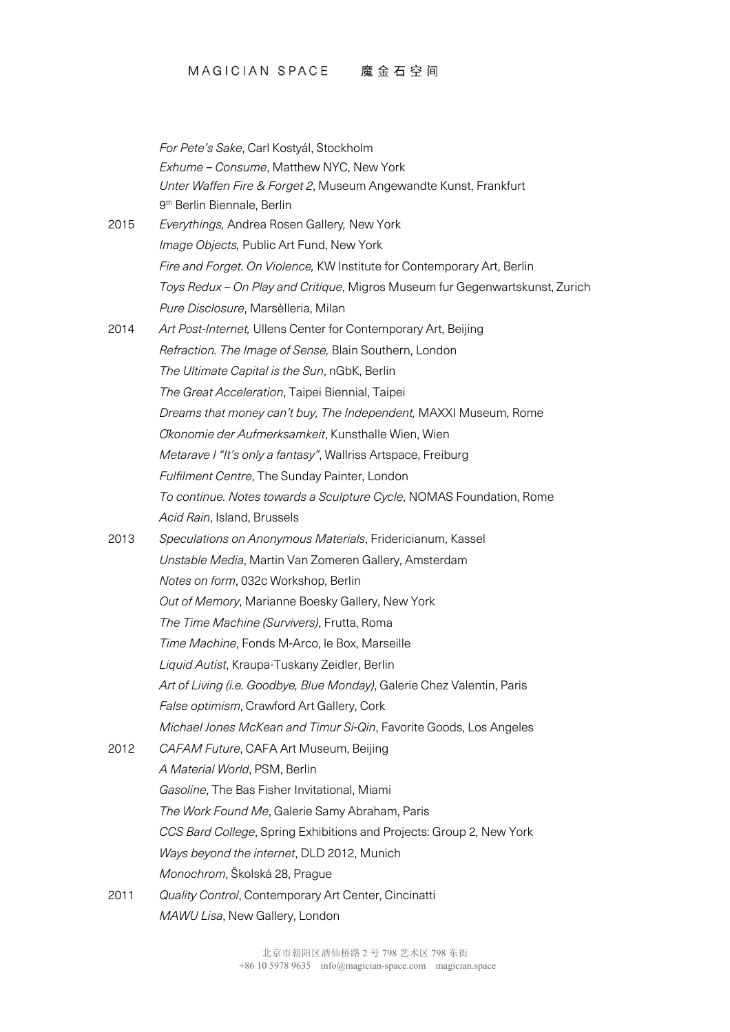# MAGICIAN SPACE 魔金石空间

|      | For Pete's Sake, Carl Kostyál, Stockholm                                     |
|------|------------------------------------------------------------------------------|
|      | Exhume - Consume, Matthew NYC, New York                                      |
|      | Unter Waffen Fire & Forget 2, Museum Angewandte Kunst, Frankfurt             |
|      | 9 <sup>th</sup> Berlin Biennale, Berlin                                      |
| 2015 | Everythings, Andrea Rosen Gallery, New York                                  |
|      | Image Objects, Public Art Fund, New York                                     |
|      | Fire and Forget. On Violence, KW Institute for Contemporary Art, Berlin      |
|      | Toys Redux - On Play and Critique, Migros Museum fur Gegenwartskunst, Zurich |
|      | Pure Disclosure, Marsèlleria, Milan                                          |
| 2014 | Art Post-Internet, Ullens Center for Contemporary Art, Beijing               |
|      | Refraction. The Image of Sense, Blain Southern, London                       |
|      | The Ultimate Capital is the Sun, nGbK, Berlin                                |
|      | The Great Acceleration, Taipei Biennial, Taipei                              |
|      | Dreams that money can't buy, The Independent, MAXXI Museum, Rome             |
|      | Okonomie der Aufmerksamkeit, Kunsthalle Wien, Wien                           |
|      | Metarave I "It's only a fantasy", Wallriss Artspace, Freiburg                |
|      | Fulfilment Centre, The Sunday Painter, London                                |
|      | To continue. Notes towards a Sculpture Cycle, NOMAS Foundation, Rome         |
|      | Acid Rain, Island, Brussels                                                  |
| 2013 | Speculations on Anonymous Materials, Fridericianum, Kassel                   |
|      | Unstable Media, Martin Van Zomeren Gallery, Amsterdam                        |
|      | Notes on form, 032c Workshop, Berlin                                         |
|      | Out of Memory, Marianne Boesky Gallery, New York                             |
|      | The Time Machine (Survivers), Frutta, Roma                                   |
|      | Time Machine, Fonds M-Arco, le Box, Marseille                                |
|      | Liquid Autist, Kraupa-Tuskany Zeidler, Berlin                                |
|      | Art of Living (i.e. Goodbye, Blue Monday), Galerie Chez Valentin, Paris      |
|      | False optimism, Crawford Art Gallery, Cork                                   |
|      | Michael Jones McKean and Timur Si-Qin, Favorite Goods, Los Angeles           |
| 2012 | CAFAM Future, CAFA Art Museum, Beijing                                       |
|      | A Material World, PSM, Berlin                                                |
|      | Gasoline, The Bas Fisher Invitational, Miami                                 |
|      | The Work Found Me, Galerie Samy Abraham, Paris                               |
|      | CCS Bard College, Spring Exhibitions and Projects: Group 2, New York         |
|      | Ways beyond the internet, DLD 2012, Munich                                   |
|      | Monochrom, Školská 28, Prague                                                |
| 2011 | Quality Control, Contemporary Art Center, Cincinatti                         |
|      | MAWU Lisa, New Gallery, London                                               |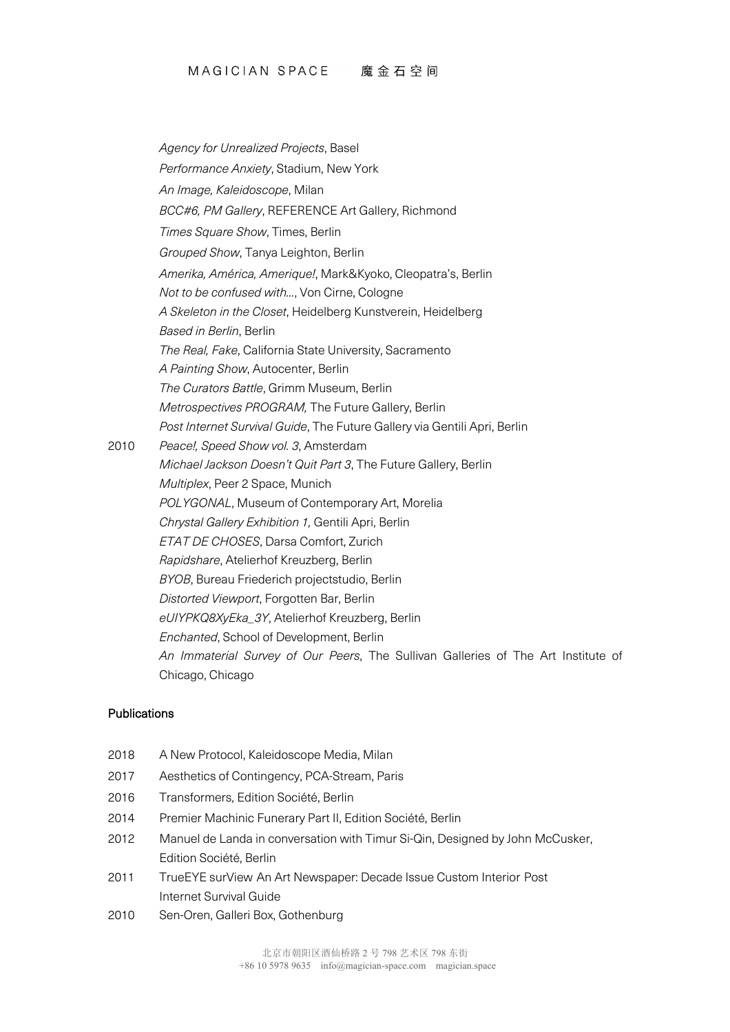*Agency for Unrealized Projects*, Basel *Performance Anxiety*, Stadium, New York *An Image, Kaleidoscope*, Milan *BCC#6, PM Gallery*, REFERENCE Art Gallery, Richmond *Times Square Show*, Times, Berlin *Grouped Show*, Tanya Leighton, Berlin *Amerika, América, Amerique!*, Mark&Kyoko, Cleopatra's, Berlin *Not to be confused with...*, Von Cirne, Cologne *A Skeleton in the Closet*, Heidelberg Kunstverein, Heidelberg *Based in Berlin*, Berlin *The Real, Fake*, California State University, Sacramento *A Painting Show*, Autocenter, Berlin *The Curators Battle*, Grimm Museum, Berlin *Metrospectives PROGRAM,* The Future Gallery, Berlin *Post Internet Survival Guide*, The Future Gallery via Gentili Apri, Berlin 2010 *Peace!, Speed Show vol. 3*, Amsterdam *Michael Jackson Doesn't Quit Part 3*, The Future Gallery, Berlin *Multiplex*, Peer 2 Space, Munich *POLYGONAL*, Museum of Contemporary Art, Morelia *Chrystal Gallery Exhibition 1,* Gentili Apri, Berlin *ETAT DE CHOSES*, Darsa Comfort, Zurich *Rapidshare*, Atelierhof Kreuzberg, Berlin *BYOB*, Bureau Friederich projectstudio, Berlin *Distorted Viewport*, Forgotten Bar, Berlin *eUIYPKQ8XyEka\_3Y*, Atelierhof Kreuzberg, Berlin *Enchanted*, School of Development, Berlin *An Immaterial Survey of Our Peers*, The Sullivan Galleries of The Art Institute of Chicago, Chicago

#### **Publications**

- 2018 A New Protocol, Kaleidoscope Media, Milan
- 2017 Aesthetics of Contingency, PCA-Stream, Paris
- 2016 Transformers, Edition Société, Berlin
- 2014 Premier Machinic Funerary Part II, Edition Société, Berlin
- 2012 Manuel de Landa in conversation with Timur Si-Qin, Designed by John McCusker, Edition Société, Berlin
- 2011 TrueEYE surView An Art Newspaper: Decade Issue Custom Interior Post Internet Survival Guide
- 2010 Sen-Oren, Galleri Box, Gothenburg